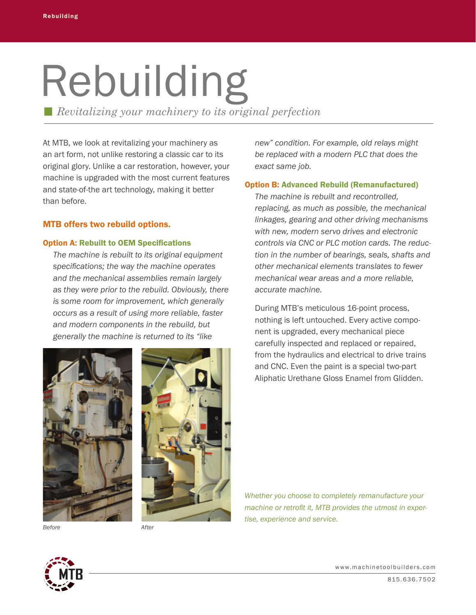# Rebuilding

*Revitalizing your machinery to its original perfection*

At MTB, we look at revitalizing your machinery as an art form, not unlike restoring a classic car to its original glory. Unlike a car restoration, however, your machine is upgraded with the most current features and state-of-the art technology, making it better than before.

## MTB offers two rebuild options.

### Option A: Rebuilt to OEM Specifications

 *The machine is rebuilt to its original equipment specifications; the way the machine operates and the mechanical assemblies remain largely as they were prior to the rebuild. Obviously, there is some room for improvement, which generally occurs as a result of using more reliable, faster and modern components in the rebuild, but generally the machine is returned to its "like*





 *new" condition. For example, old relays might be replaced with a modern PLC that does the exact same job.*

## Option B: Advanced Rebuild (Remanufactured)

*The machine is rebuilt and recontrolled, replacing, as much as possible, the mechanical linkages, gearing and other driving mechanisms with new, modern servo drives and electronic controls via CNC or PLC motion cards. The reduc- tion in the number of bearings, seals, shafts and other mechanical elements translates to fewer mechanical wear areas and a more reliable, accurate machine.*

During MTB's meticulous 16-point process, nothing is left untouched. Every active component is upgraded, every mechanical piece carefully inspected and replaced or repaired, from the hydraulics and electrical to drive trains and CNC. Even the paint is a special two-part Aliphatic Urethane Gloss Enamel from Glidden.

*Whether you choose to completely remanufacture your machine or retrofit it, MTB provides the utmost in expertise, experience and service.*

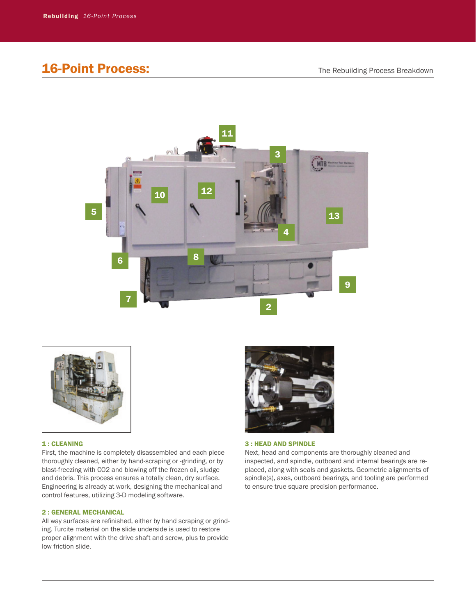# **16-Point Process:** The Rebuilding Process Breakdown





#### 1 : CLEANING

First, the machine is completely disassembled and each piece thoroughly cleaned, either by hand-scraping or -grinding, or by blast-freezing with CO2 and blowing off the frozen oil, sludge and debris. This process ensures a totally clean, dry surface. Engineering is already at work, designing the mechanical and control features, utilizing 3-D modeling software.

#### 2 : GENERAL MECHANICAL

All way surfaces are refinished, either by hand scraping or grinding. Turcite material on the slide underside is used to restore proper alignment with the drive shaft and screw, plus to provide low friction slide.



#### 3 : HEAD AND SPINDLE

Next, head and components are thoroughly cleaned and inspected, and spindle, outboard and internal bearings are replaced, along with seals and gaskets. Geometric alignments of spindle(s), axes, outboard bearings, and tooling are performed to ensure true square precision performance.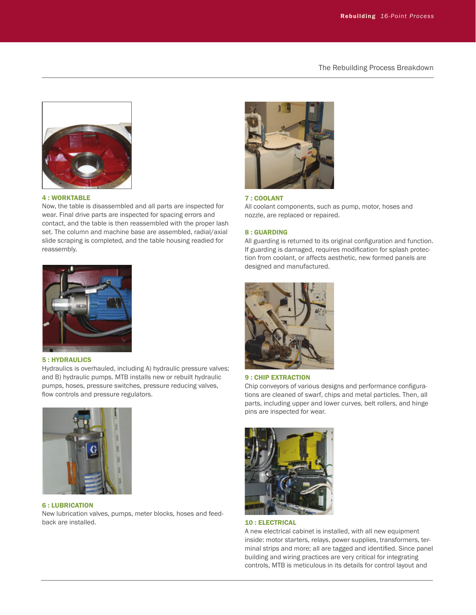The Rebuilding Process Breakdown



#### 4 : WORKTABLE

Now, the table is disassembled and all parts are inspected for wear. Final drive parts are inspected for spacing errors and contact, and the table is then reassembled with the proper lash set. The column and machine base are assembled, radial/axial slide scraping is completed, and the table housing readied for reassembly.



#### 5 : HYDRAULICS

Hydraulics is overhauled, including A) hydraulic pressure valves; and B) hydraulic pumps. MTB installs new or rebuilt hydraulic pumps, hoses, pressure switches, pressure reducing valves, flow controls and pressure regulators.



#### 6 : LUBRICATION

New lubrication valves, pumps, meter blocks, hoses and feedback are installed.



#### 7 : COOLANT

All coolant components, such as pump, motor, hoses and nozzle, are replaced or repaired.

#### 8 : GUARDING

All guarding is returned to its original configuration and function. If guarding is damaged, requires modification for splash protection from coolant, or affects aesthetic, new formed panels are designed and manufactured.



#### 9 : CHIP EXTRACTION

Chip conveyors of various designs and performance configurations are cleaned of swarf, chips and metal particles. Then, all parts, including upper and lower curves, belt rollers, and hinge pins are inspected for wear.



#### 10 : ELECTRICAL

A new electrical cabinet is installed, with all new equipment inside: motor starters, relays, power supplies, transformers, terminal strips and more; all are tagged and identified. Since panel building and wiring practices are very critical for integrating controls, MTB is meticulous in its details for control layout and